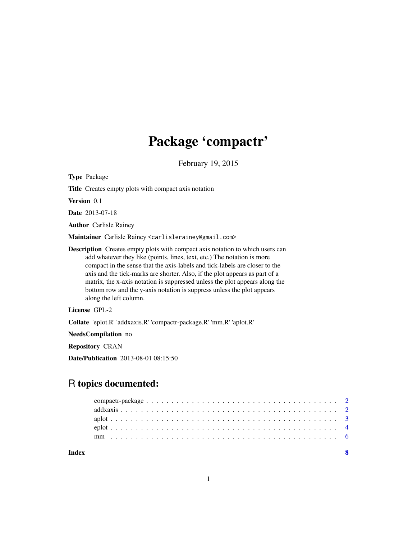## Package 'compactr'

February 19, 2015

Type Package Title Creates empty plots with compact axis notation Version 0.1 Date 2013-07-18 Author Carlisle Rainey Maintainer Carlisle Rainey <carlislerainey@gmail.com> Description Creates empty plots with compact axis notation to which users can add whatever they like (points, lines, text, etc.) The notation is more compact in the sense that the axis-labels and tick-labels are closer to the axis and the tick-marks are shorter. Also, if the plot appears as part of a matrix, the x-axis notation is suppressed unless the plot appears along the bottom row and the y-axis notation is suppress unless the plot appears along the left column. License GPL-2

Collate 'eplot.R' 'addxaxis.R' 'compactr-package.R' 'mm.R' 'aplot.R'

NeedsCompilation no

Repository CRAN

Date/Publication 2013-08-01 08:15:50

### R topics documented:

| Index |  |
|-------|--|
|       |  |
|       |  |
|       |  |
|       |  |
|       |  |

1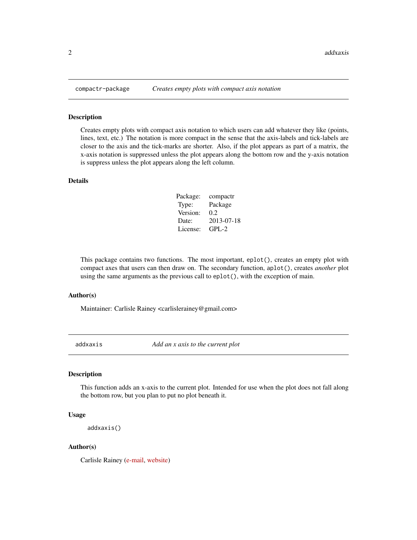#### Description

Creates empty plots with compact axis notation to which users can add whatever they like (points, lines, text, etc.) The notation is more compact in the sense that the axis-labels and tick-labels are closer to the axis and the tick-marks are shorter. Also, if the plot appears as part of a matrix, the x-axis notation is suppressed unless the plot appears along the bottom row and the y-axis notation is suppress unless the plot appears along the left column.

#### Details

| Package: | compactr   |
|----------|------------|
| Type:    | Package    |
| Version: | 0.2        |
| Date:    | 2013-07-18 |
| License: | $GPI - 2$  |

This package contains two functions. The most important, eplot(), creates an empty plot with compact axes that users can then draw on. The secondary function, aplot(), creates *another* plot using the same arguments as the previous call to eplot(), with the exception of main.

#### Author(s)

Maintainer: Carlisle Rainey <carlislerainey@gmail.com>

addxaxis *Add an x axis to the current plot*

#### Description

This function adds an x-axis to the current plot. Intended for use when the plot does not fall along the bottom row, but you plan to put no plot beneath it.

#### Usage

```
addxaxis()
```
#### Author(s)

Carlisle Rainey [\(e-mail,](mailto:carlislerainey@gmail.com) [website\)](http://www.carlislerainey.com)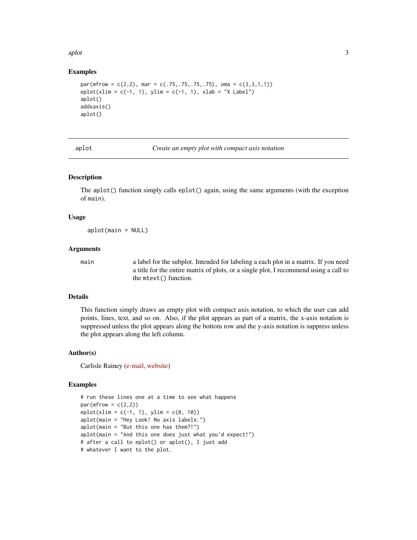<span id="page-2-0"></span>aplot 3

#### Examples

```
par(mfrow = c(2, 2), mar = c(.75, .75, .75, .75), oma = c(3, 3, 1, 1))eplot(xlim = c(-1, 1), ylim = c(-1, 1), xlab = "X Label")aplot()
addxaxis()
aplot()
```
**Create an empty plot with compact axis notation** 

#### Description

The aplot() function simply calls eplot() again, using the same arguments (with the exception of main).

#### Usage

aplot(main = NULL)

#### Arguments

main a label for the subplot. Intended for labeling a each plot in a matrix. If you need a title for the entire matrix of plots, or a single plot, I recommend using a call to the mtext() function.

#### Details

This function simply draws an empty plot with compact axis notation, to which the user can add points, lines, text, and so on. Also, if the plot appears as part of a matrix, the x-axis notation is suppressed unless the plot appears along the bottom row and the y-axis notation is suppress unless the plot appears along the left column.

#### Author(s)

Carlisle Rainey [\(e-mail,](mailto:carlislerainey@gmail.com) [website\)](http://www.carlislerainey.com)

#### Examples

```
# run these lines one at a time to see what happens
par(mfrow = c(2,2))eplot(xlim = c(-1, 1), ylim = c(0, 10))aplot(main = "Hey Look! No axis labels.")
aplot(main = "But this one has them?!")
aplot(main = "And this one does just what you'd expect!")
# after a call to eplot() or aplot(), I just add
# whatever I want to the plot.
```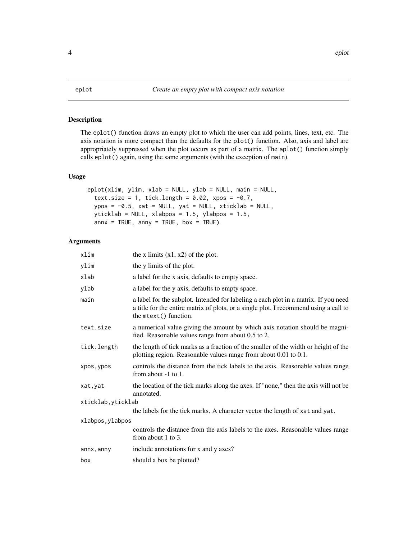#### <span id="page-3-0"></span>Description

The eplot() function draws an empty plot to which the user can add points, lines, text, etc. The axis notation is more compact than the defaults for the plot() function. Also, axis and label are appropriately suppressed when the plot occurs as part of a matrix. The aplot() function simply calls eplot() again, using the same arguments (with the exception of main).

#### Usage

```
eplot(xlim, ylim, xlab = NULL, ylab = NULL, main = NULL,
 text.size = 1, tick.length = 0.02, xpos = -0.7,
 ypos = -0.5, xat = NULL, yat = NULL, xticklab = NULL,
 yticklab = NULL, xlabpos = 1.5, ylabpos = 1.5,
 annx = TRUE, anny = TRUE, box = TRUE)
```
#### Arguments

| xlim               | the x limits $(x1, x2)$ of the plot.                                                                                                                                                                  |
|--------------------|-------------------------------------------------------------------------------------------------------------------------------------------------------------------------------------------------------|
| ylim               | the y limits of the plot.                                                                                                                                                                             |
| xlab               | a label for the x axis, defaults to empty space.                                                                                                                                                      |
| ylab               | a label for the y axis, defaults to empty space.                                                                                                                                                      |
| main               | a label for the subplot. Intended for labeling a each plot in a matrix. If you need<br>a title for the entire matrix of plots, or a single plot, I recommend using a call to<br>the mtext() function. |
| text.size          | a numerical value giving the amount by which axis notation should be magni-<br>fied. Reasonable values range from about 0.5 to 2.                                                                     |
| tick.length        | the length of tick marks as a fraction of the smaller of the width or height of the<br>plotting region. Reasonable values range from about 0.01 to 0.1.                                               |
| xpos, ypos         | controls the distance from the tick labels to the axis. Reasonable values range<br>from about $-1$ to $1$ .                                                                                           |
| xat, yat           | the location of the tick marks along the axes. If "none," then the axis will not be<br>annotated.                                                                                                     |
| xticklab, yticklab |                                                                                                                                                                                                       |
|                    | the labels for the tick marks. A character vector the length of xat and yat.                                                                                                                          |
| xlabpos, ylabpos   |                                                                                                                                                                                                       |
|                    | controls the distance from the axis labels to the axes. Reasonable values range<br>from about $1$ to $3$ .                                                                                            |
| annx, anny         | include annotations for x and y axes?                                                                                                                                                                 |
| box                | should a box be plotted?                                                                                                                                                                              |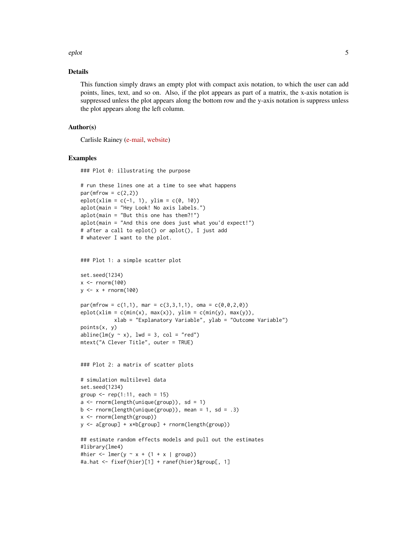#### eplot 5

#### Details

This function simply draws an empty plot with compact axis notation, to which the user can add points, lines, text, and so on. Also, if the plot appears as part of a matrix, the x-axis notation is suppressed unless the plot appears along the bottom row and the y-axis notation is suppress unless the plot appears along the left column.

#### Author(s)

Carlisle Rainey [\(e-mail,](mailto:carlislerainey@gmail.com) [website\)](http://www.carlislerainey.com)

#### Examples

### Plot 0: illustrating the purpose

```
# run these lines one at a time to see what happens
par(mfrow = c(2,2))eplot(xlim = c(-1, 1), ylim = c(0, 10))aplot(main = "Hey Look! No axis labels.")
aplot(main = "But this one has them?!")
aplot(main = "And this one does just what you'd expect!")
# after a call to eplot() or aplot(), I just add
# whatever I want to the plot.
### Plot 1: a simple scatter plot
set.seed(1234)
x < - rnorm(100)
y \leq -x + \text{rnorm}(100)par(mfrow = c(1,1), mar = c(3,3,1,1), oma = c(0,0,2,0))eplot(xlim = c(min(x), max(x)), ylim = c(min(y), max(y)),xlab = "Explanatory Variable", ylab = "Outcome Variable")
points(x, y)
abline(lm(y \sim x), lwd = 3, col = "red")mtext("A Clever Title", outer = TRUE)
### Plot 2: a matrix of scatter plots
# simulation multilevel data
set.seed(1234)
group \leq rep(1:11, each = 15)
a \leq r rnorm(length(unique(group)), sd = 1)
b \le rnorm(length(unique(group)), mean = 1, sd = .3)
x <- rnorm(length(group))
y <- a[group] + x*b[group] + rnorm(length(group))
## estimate random effects models and pull out the estimates
#library(lme4)
#hier <- lmer(y \sim x + (1 + x \mid group))#a.hat <- fixef(hier)[1] + ranef(hier)$group[, 1]
```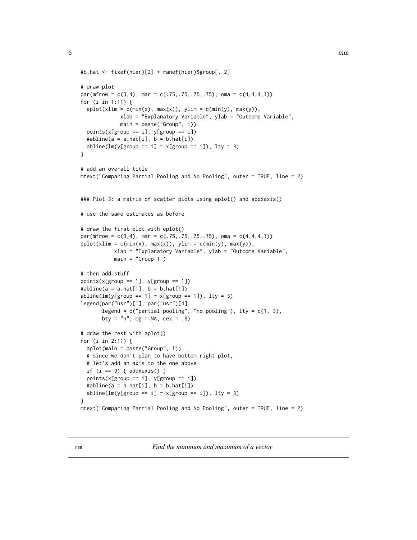```
#b.hat <- fixef(hier)[2] + ranef(hier)$group[, 2]
# draw plot
par(mfrow = c(3,4), mar = c(.75,.75,.75,.75), oma = c(4,4,4,1))for (i in 1:11) {
 eplot(xlim = c(min(x), max(x)), ylim = c(min(y), max(y)),xlab = "Explanatory Variable", ylab = "Outcome Variable",
             main = paste("Group", i))
 points(x[group == i], y[group == i])#abline(a = a.hat[i], b = b.hat[i])
 abline(lm(y[group == i] \sim x[group == i]), lty = 3)
}
# add an overall title
mtext("Comparing Partial Pooling and No Pooling", outer = TRUE, line = 2)
### Plot 3: a matrix of scatter plots using aplot() and addxaxis()
# use the same estimates as before
# draw the first plot with eplot()
par(mfrow = c(3,4), mar = c(.75,.75,.75,.75), oma = c(4,4,4,1))eplot(xlim = c(min(x), max(x)), ylim = c(min(y), max(y)),xlab = "Explanatory Variable", ylab = "Outcome Variable",
           main = "Group 1")# then add stuff
points(x[group == 1], y[group == 1])#abline(a = a.hat[1], b = b.hat[1])abline(lm(y[group == 1] ~ x[group == 1]), lty = 3)legend(par("usr")[1], par("usr")[4],
      legend = c("partial pooling", "no pooling"), lty = <math>c(1, 3)</math>,bty = "n", bg = NA, cex = .8)# draw the rest with aplot()
for (i in 2:11) {
 aplot(main = paste("Group", i))
 # since we don't plan to have bottom right plot,
 # let's add an axis to the one above
 if (i == 9) { addsaxis() }points(x[group == i], y[group == i])
 #abline(a = a.hat[i], b = b.hat[i])abline(lm(y[group == i] ~ x[group == i]), lty = 3)}
mtext("Comparing Partial Pooling and No Pooling", outer = TRUE, line = 2)
```
mm *Find the minimum and maximum of a vector*

<span id="page-5-0"></span>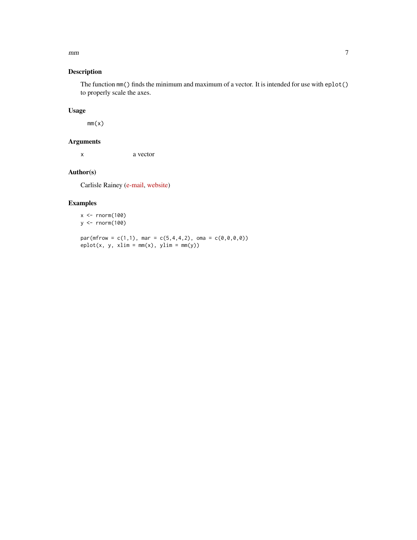#### $m$

#### Description

The function mm() finds the minimum and maximum of a vector. It is intended for use with eplot() to properly scale the axes.

#### Usage

 $mm(x)$ 

#### Arguments

x a vector

#### Author(s)

Carlisle Rainey [\(e-mail,](mailto:carlislerainey@gmail.com) [website\)](http://www.carlislerainey.com)

#### Examples

```
x < - rnorm(100)
y <- rnorm(100)
```
 $par(mfrow = c(1,1), mar = c(5,4,4,2), oma = c(0,0,0,0))$  $eplot(x, y, xlim = mm(x), ylim = mm(y))$